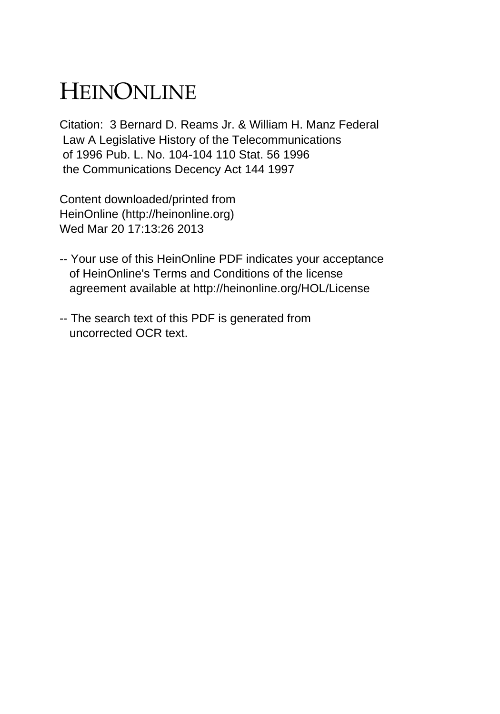# HEINONLINE

Citation: 3 Bernard D. Reams Jr. & William H. Manz Federal Law A Legislative History of the Telecommunications of 1996 Pub. L. No. 104-104 110 Stat. 56 1996 the Communications Decency Act 144 1997

Content downloaded/printed from HeinOnline (http://heinonline.org) Wed Mar 20 17:13:26 2013

- -- Your use of this HeinOnline PDF indicates your acceptance of HeinOnline's Terms and Conditions of the license agreement available at http://heinonline.org/HOL/License
- -- The search text of this PDF is generated from uncorrected OCR text.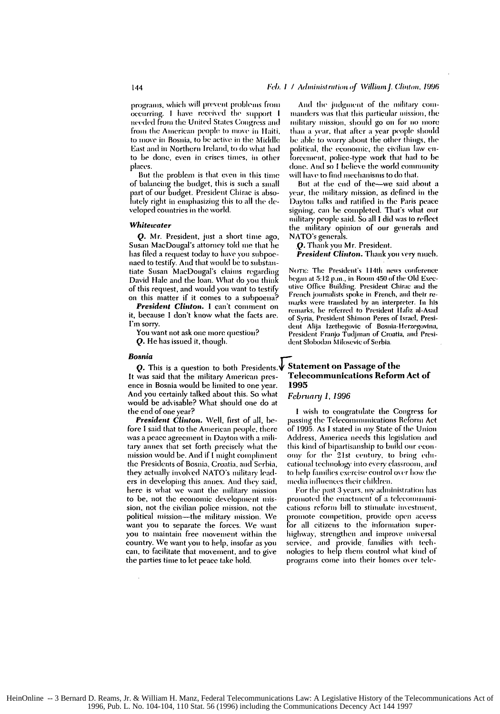## *Feb.* **I** */ Adininistratio of WillioniJ. Cliton.* <sup>1996</sup>

programs, which will prevent problems from occurring. **I** have receisid tie support **I** needed from the United States Congress and from the American people to move in Haiti. to move in Bosnia, to be active in the Middle East and in Northern Ireland, to lio what **bad** to be done, even in crises times, in other **places.**

But the problem is that even in this time of balancing the budget, this is such a small part of our budget. President Clhirac is absolutely right in eniphasizing this to all the **de**veloped countries in the world.

#### *Whitewater*

*Q.* Mr. President, just a short time ago, Susan MacDougal's attorney told me that he has filed a request today to have you subpoenaed to testify. And that would be to substantiate Susan MacDougal's claims regarding David Hale and the loan. What do you think of this request, and would you want to testify on this nmatter if it comes to a subpoena?

**President Clinton.** I can't comment on it, because I don't know what the facts are. I'm sorry.

You want not ask one **more** question? *Q.* He has issued it, though.

#### Bosnia

*Q.* This is a question to both **Presidents.** It was said that the military American presence in Bosnia would be limited to one year. And you certainly talked about this. So what would be advisable? What should one do at the end of one year?

President Clinton. Well, first of all, before I said that to the American people, there was a peace agreement in Dayton with a miilitary annex that set forth precisely what the mission would be. And if I might compliment the Presidents of Bosnia, Croatia, **and** Serbia, they actually involved NATO's military leaders in developing this annex. And they said, here is what we want the military mission to be, not the economic development mission, not the civilian police mission, not the political mission-the military mission. We want you to separate the forces. We want you to maintain free movement within the country. We want you to help, insofar as you can, to facilitate that movement, and to give the parties time to let peace take hold.

And the judgment of the military commanders was that this particular mission, the military mission, should go on for no more than a year, that after a year people should **be** able to worry about the other things, the political, the economic, the civilian law enforcement, police-type work that had to be done. And so I believe the world community will have to find mechanisms to do that.

But **at** the end of the-we said about a year, the military mission, as defined in the Dayton talks and ratified in the Paris peace signing, can be completed. That's what our miilitary people said. So all I did was to reflect the unilitary opinion of our generals **and** NATO's generals.

*O*. Thank you Mr. President.

President Clinton. Thank you very much.

NOTE: The President's 114th news conference began at 5:12 **pin., in** Roon **450** of the Old Executive Office Building. President Chirac and the French journalists spoke in French, and their remarks were translated by an interpreter. In his remarks, he referred to President Hafiz al-Asad of Syria, President Shimon Peres of Israel, President Alija Izetbegovic of Bosnia-Herzegovina, President Franjo Tudjman of Croatia, and President Slobodan NIilosevic of Serbia.

# **Statement on Passage of the Telecommunications Reform Act of 1995**

# *Februanj* 1, 1996

**1** wish to congratulate the Congress for passing the Telecommunications Reform Act of 1995. As I stated in my State of the Union Address, America needs this legislation and this kind of bipartisanship to build our economy for the 21st century, to bring educational technology into every classroom, and to help families exercise control over how the media influences their children.

For the past 3 years, my administration has promoted the enactment of a telecommunications reform bill to stimulate investment, promote competition, provide open access for all citizens to the information superhighway, strengthen and improve universal service, and provide families with technologies to help them control what kind of programs come into their homes over tele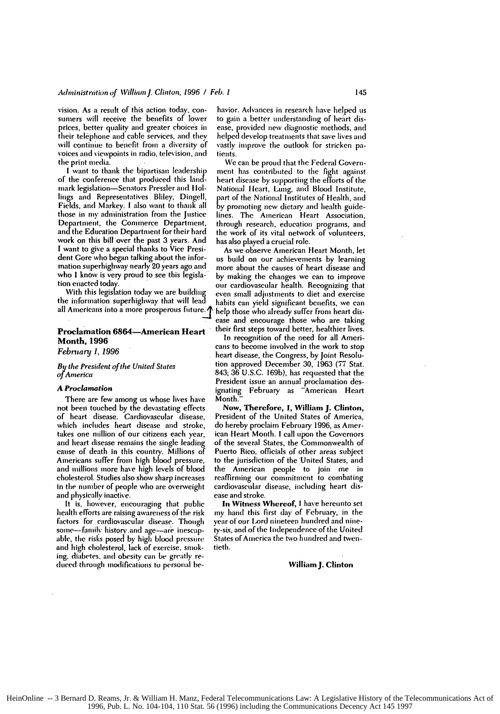vision. As a result of this action today, consumers will receive the benefits of lower prices, better quality and greater choices in their telephone and cable services, and they will continue to benefit from a diversity of voices and viewpoints in radio, television, and the print media.

I want to thank the bipartisan leadership of the conference that produced this landmark legislation-Senators Pressler and hIo<sup>l</sup> ings and Representatives Bliley, Dingell, Fields, and Markey. I also want to thank all those in my administration from the Justice Department, the Commerce Department, and the Education Department for their hard work on this bill over the past 3 years. And I want to give a special thanks to Vice President Gore who began talking about the information superhighway nearly 20 years ago, and who **I** know is very proud to see this legislation enacted today.

With this legislation today we are building the information superhighway that will lead all Americans into a more prosperous future. $\uparrow$ 

# **Proclamation 6864-American Heart Month, 1996**

*February 1, 1996*

# *Bt* the President *of the* United States 0/America

### **A** *Proclamation*

There are few among us whose lives have not been touched **by** the devastating effects of heart disease. Cardiovascular disease, which includes heart disease and stroke, takes one million of our citizens each year, and heart disease remains the single leading cause of death in this country. Millions of Americans suffer from high blood pressure, and millions more hate high levels of blood cholesterol. Studies also show sharp increases In the number of people who are overweight and physically inactive.

It is, however, encouraging that public health efforts are raising awareness of the risk factors for cardiovascular disease. Though some-family history and age-are inescapable, the risks posed by high blood pressure and high cholesterol, lack of exercise, smoking, diabetes. and obesity can be greatly reduced through modifications to personal be-

havior. Advances in research have helped us to gain a better understanding of heart disease, provided new diagnostic methods, and helped develop treatments that save lives and vastly improve the outlook for stricken patients.

We can be proud that the Federal Government has contributed to the fight against heart disease by supporting the efforts of the National Heart, Lung, and Blood Institute, part of the National Institutes of Health, and y promoting new dietary and health guidelines. The American Heart Association, through research, education programs, and the work of its vital network of volunteers, has also played a crucial role.

As we observe American Heart Month, let us build on our achievements by learning more about the causes of heart disease and by making the changes we can to improve our cardiovascular health. Recognizing that even small adjustments to diet and exercise habits can yield significant benefits, we can help those who already suffer from heart disease and encourage those who are taking their first steps toward better, healthier lives.

In recognition of the need for all Americans to become involved in the work to stop heart disease, the Congress, by Joint Resolution approved December **30,** 1963 **(77** Stat. 843; 36 U.S.C. 169b), has requested that the President issue an annual proclamation designating February as "American Heart Month.

Now, **Therefore, I, William J. Clinton,** President of the United States of America, do hereby proclaim February 1996, as American Heart Month. **I** call upon the Governors of the several States, the Commonwealth of Puerto Rico, officials of other areas subject to the jurisdiction of the United States, and the American people to join me in reaffirming our commitment to combating cardiovascular disease, including heart disease and stroke.

In Witness Whereof, **I** have hereunto set my hand this first day of February, in the year of our Lord nineteen hundred and ninety-six, and of the Independence of the United States of America the two hundred and twentieth.

### **William J. Clinton**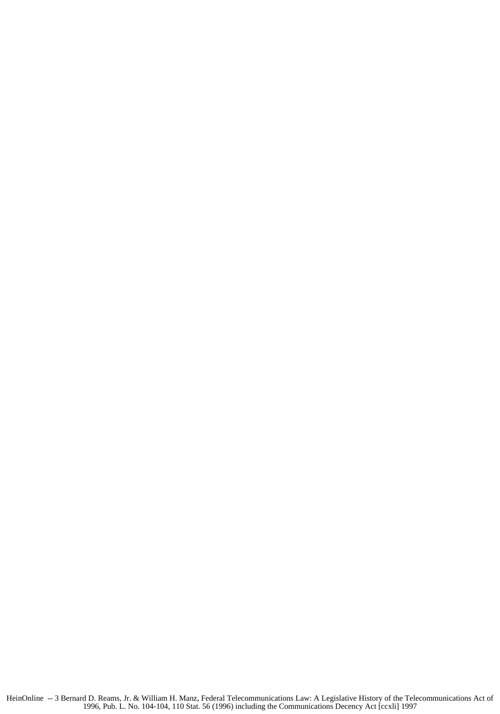HeinOnline -- 3 Bernard D. Reams, Jr. & William H. Manz, Federal Telecommunications Law: A Legislative History of the Telecommunications Act of 1996, Pub. L. No. 104-104, 110 Stat. 56 (1996) including the Communications Decency Act [ccxli] 1997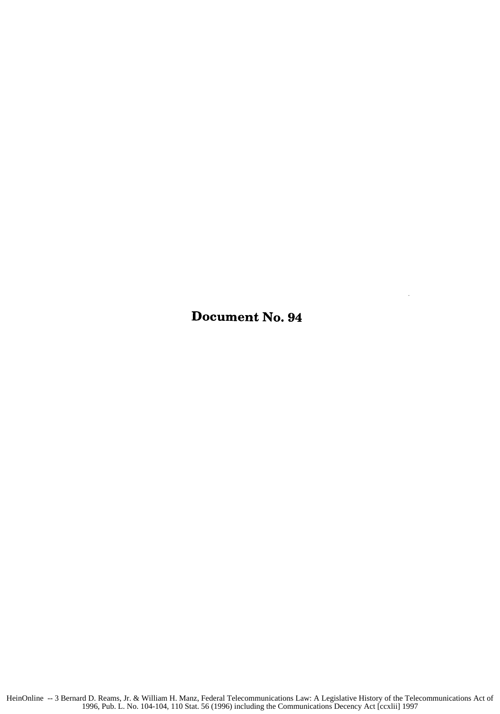Document No. 94

 $\bar{ }$